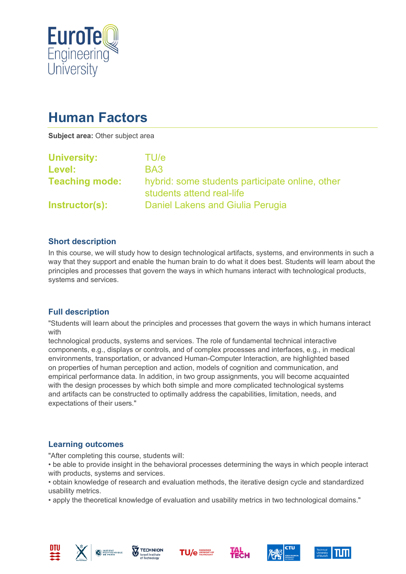

# **Human Factors**

**Subject area:** Other subject area

| <b>University:</b>    | TU/e                                                                         |
|-----------------------|------------------------------------------------------------------------------|
| Level:                | BA3                                                                          |
| <b>Teaching mode:</b> | hybrid: some students participate online, other<br>students attend real-life |
| <b>Instructor(s):</b> | Daniel Lakens and Giulia Perugia                                             |

#### **Short description**

In this course, we will study how to design technological artifacts, systems, and environments in such a way that they support and enable the human brain to do what it does best. Students will learn about the principles and processes that govern the ways in which humans interact with technological products, systems and services.

## **Full description**

"Students will learn about the principles and processes that govern the ways in which humans interact with

technological products, systems and services. The role of fundamental technical interactive components, e.g., displays or controls, and of complex processes and interfaces, e.g., in medical environments, transportation, or advanced Human-Computer Interaction, are highlighted based on properties of human perception and action, models of cognition and communication, and empirical performance data. In addition, in two group assignments, you will become acquainted with the design processes by which both simple and more complicated technological systems and artifacts can be constructed to optimally address the capabilities, limitation, needs, and expectations of their users."

#### **Learning outcomes**

"After completing this course, students will:

- be able to provide insight in the behavioral processes determining the ways in which people interact with products, systems and services.
- obtain knowledge of research and evaluation methods, the iterative design cycle and standardized usability metrics.
- apply the theoretical knowledge of evaluation and usability metrics in two technological domains."













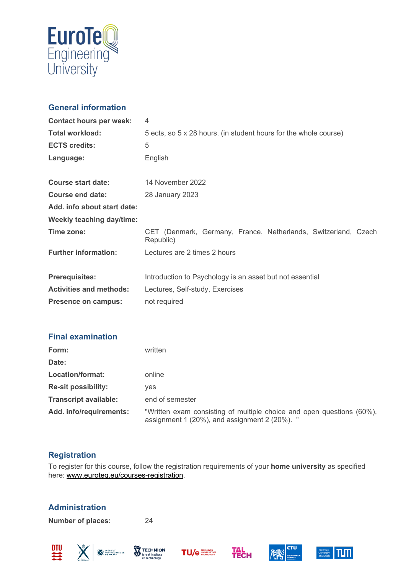

## **General information**

| <b>Contact hours per week:</b>   | 4                                                                           |
|----------------------------------|-----------------------------------------------------------------------------|
| <b>Total workload:</b>           | 5 ects, so 5 x 28 hours. (in student hours for the whole course)            |
| <b>ECTS credits:</b>             | 5                                                                           |
| Language:                        | English                                                                     |
| <b>Course start date:</b>        | 14 November 2022                                                            |
| <b>Course end date:</b>          | 28 January 2023                                                             |
| Add. info about start date:      |                                                                             |
| <b>Weekly teaching day/time:</b> |                                                                             |
| Time zone:                       | CET (Denmark, Germany, France, Netherlands, Switzerland, Czech<br>Republic) |
| <b>Further information:</b>      | Lectures are 2 times 2 hours                                                |
| <b>Prerequisites:</b>            | Introduction to Psychology is an asset but not essential                    |
| <b>Activities and methods:</b>   | Lectures, Self-study, Exercises                                             |
| <b>Presence on campus:</b>       | not required                                                                |

#### **Final examination**

| Form:                        | written                                                                                                                |
|------------------------------|------------------------------------------------------------------------------------------------------------------------|
| Date:                        |                                                                                                                        |
| Location/format:             | online                                                                                                                 |
| <b>Re-sit possibility:</b>   | ves                                                                                                                    |
| <b>Transcript available:</b> | end of semester                                                                                                        |
| Add. info/requirements:      | "Written exam consisting of multiple choice and open questions (60%),<br>assignment 1 (20%), and assignment 2 (20%). " |

## **Registration**

To register for this course, follow the registration requirements of your **home university** as specified here: [www.euroteq.eu/courses-registration.](http://www.euroteq.eu/courses-registration)

## **Administration**

**Number of places:** 24